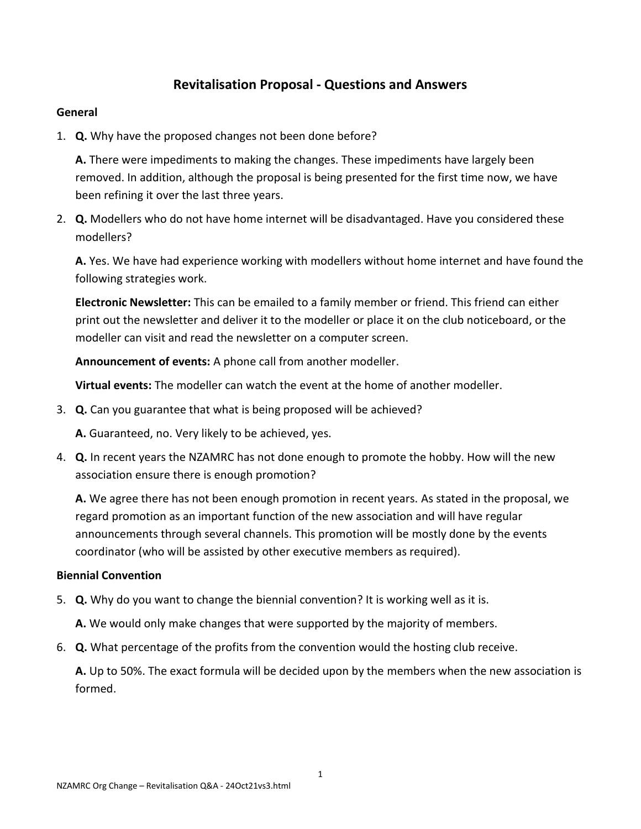# **Revitalisation Proposal - Questions and Answers**

## **General**

1. **Q.** Why have the proposed changes not been done before?

**A.** There were impediments to making the changes. These impediments have largely been removed. In addition, although the proposal is being presented for the first time now, we have been refining it over the last three years.

2. **Q.** Modellers who do not have home internet will be disadvantaged. Have you considered these modellers?

**A.** Yes. We have had experience working with modellers without home internet and have found the following strategies work.

**Electronic Newsletter:** This can be emailed to a family member or friend. This friend can either print out the newsletter and deliver it to the modeller or place it on the club noticeboard, or the modeller can visit and read the newsletter on a computer screen.

**Announcement of events:** A phone call from another modeller.

**Virtual events:** The modeller can watch the event at the home of another modeller.

3. **Q.** Can you guarantee that what is being proposed will be achieved?

**A.** Guaranteed, no. Very likely to be achieved, yes.

4. **Q.** In recent years the NZAMRC has not done enough to promote the hobby. How will the new association ensure there is enough promotion?

**A.** We agree there has not been enough promotion in recent years. As stated in the proposal, we regard promotion as an important function of the new association and will have regular announcements through several channels. This promotion will be mostly done by the events coordinator (who will be assisted by other executive members as required).

### **Biennial Convention**

5. **Q.** Why do you want to change the biennial convention? It is working well as it is.

**A.** We would only make changes that were supported by the majority of members.

6. **Q.** What percentage of the profits from the convention would the hosting club receive.

**A.** Up to 50%. The exact formula will be decided upon by the members when the new association is formed.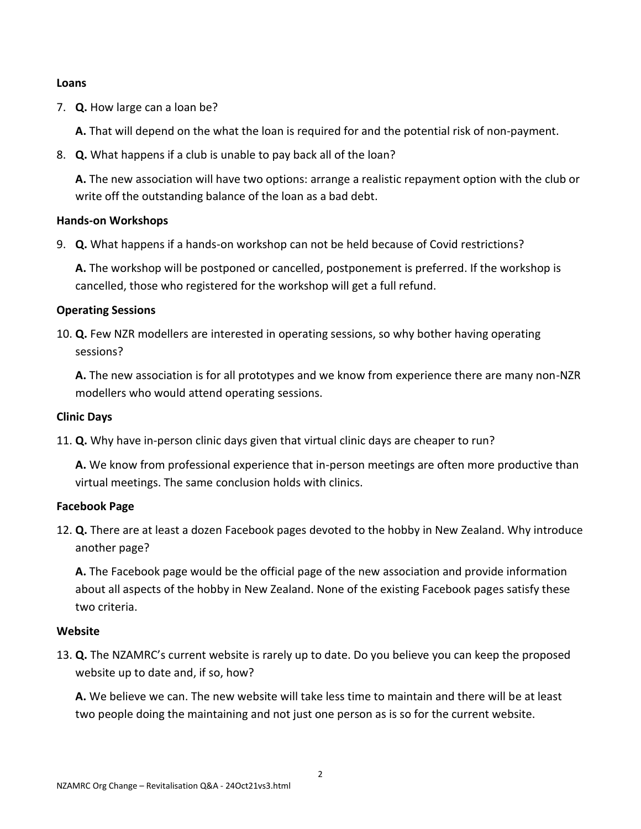## **Loans**

7. **Q.** How large can a loan be?

**A.** That will depend on the what the loan is required for and the potential risk of non-payment.

8. **Q.** What happens if a club is unable to pay back all of the loan?

**A.** The new association will have two options: arrange a realistic repayment option with the club or write off the outstanding balance of the loan as a bad debt.

## **Hands-on Workshops**

9. **Q.** What happens if a hands-on workshop can not be held because of Covid restrictions?

**A.** The workshop will be postponed or cancelled, postponement is preferred. If the workshop is cancelled, those who registered for the workshop will get a full refund.

## **Operating Sessions**

10. **Q.** Few NZR modellers are interested in operating sessions, so why bother having operating sessions?

**A.** The new association is for all prototypes and we know from experience there are many non-NZR modellers who would attend operating sessions.

## **Clinic Days**

11. **Q.** Why have in-person clinic days given that virtual clinic days are cheaper to run?

**A.** We know from professional experience that in-person meetings are often more productive than virtual meetings. The same conclusion holds with clinics.

### **Facebook Page**

12. **Q.** There are at least a dozen Facebook pages devoted to the hobby in New Zealand. Why introduce another page?

**A.** The Facebook page would be the official page of the new association and provide information about all aspects of the hobby in New Zealand. None of the existing Facebook pages satisfy these two criteria.

### **Website**

13. **Q.** The NZAMRC's current website is rarely up to date. Do you believe you can keep the proposed website up to date and, if so, how?

**A.** We believe we can. The new website will take less time to maintain and there will be at least two people doing the maintaining and not just one person as is so for the current website.